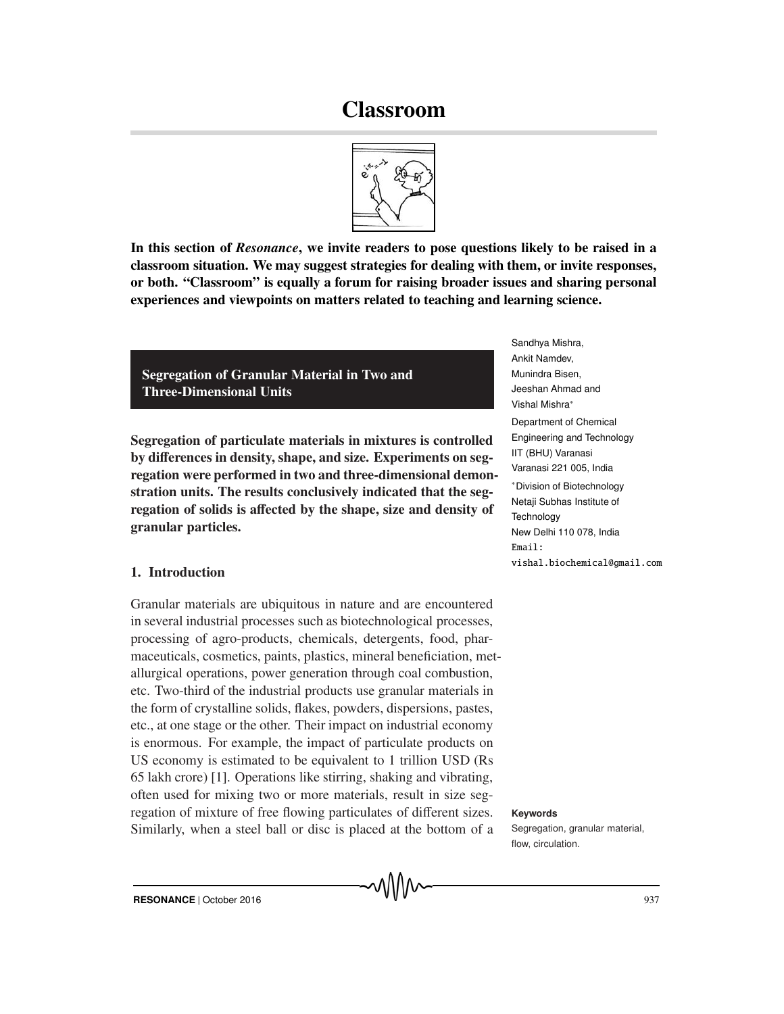# Classroom



In this section of *Resonance*, we invite readers to pose questions likely to be raised in a classroom situation. We may suggest strategies for dealing with them, or invite responses, or both. "Classroom" is equally a forum for raising broader issues and sharing personal experiences and viewpoints on matters related to teaching and learning science.

Segregation of Granular Material in Two and Three-Dimensional Units

Segregation of particulate materials in mixtures is controlled by differences in density, shape, and size. Experiments on segregation were performed in two and three-dimensional demonstration units. The results conclusively indicated that the segregation of solids is affected by the shape, size and density of granular particles.

## 1. Introduction

Granular materials are ubiquitous in nature and are encountered in several industrial processes such as biotechnological processes, processing of agro-products, chemicals, detergents, food, pharmaceuticals, cosmetics, paints, plastics, mineral beneficiation, metallurgical operations, power generation through coal combustion, etc. Two-third of the industrial products use granular materials in the form of crystalline solids, flakes, powders, dispersions, pastes, etc., at one stage or the other. Their impact on industrial economy is enormous. For example, the impact of particulate products on US economy is estimated to be equivalent to 1 trillion USD (Rs 65 lakh crore) [1]. Operations like stirring, shaking and vibrating, often used for mixing two or more materials, result in size segregation of mixture of free flowing particulates of different sizes. Keywords Similarly, when a steel ball or disc is placed at the bottom of a

Sandhya Mishra, Ankit Namdev, Munindra Bisen, Jeeshan Ahmad and Vishal Mishra∗ Department of Chemical Engineering and Technology IIT (BHU) Varanasi Varanasi 221 005, India ∗Division of Biotechnology Netaji Subhas Institute of **Technology** New Delhi 110 078, India  $Email:$ vishal.biochemical@gmail.com

vishal.biochemical@gmail.com

Segregation, granular material, flow, circulation.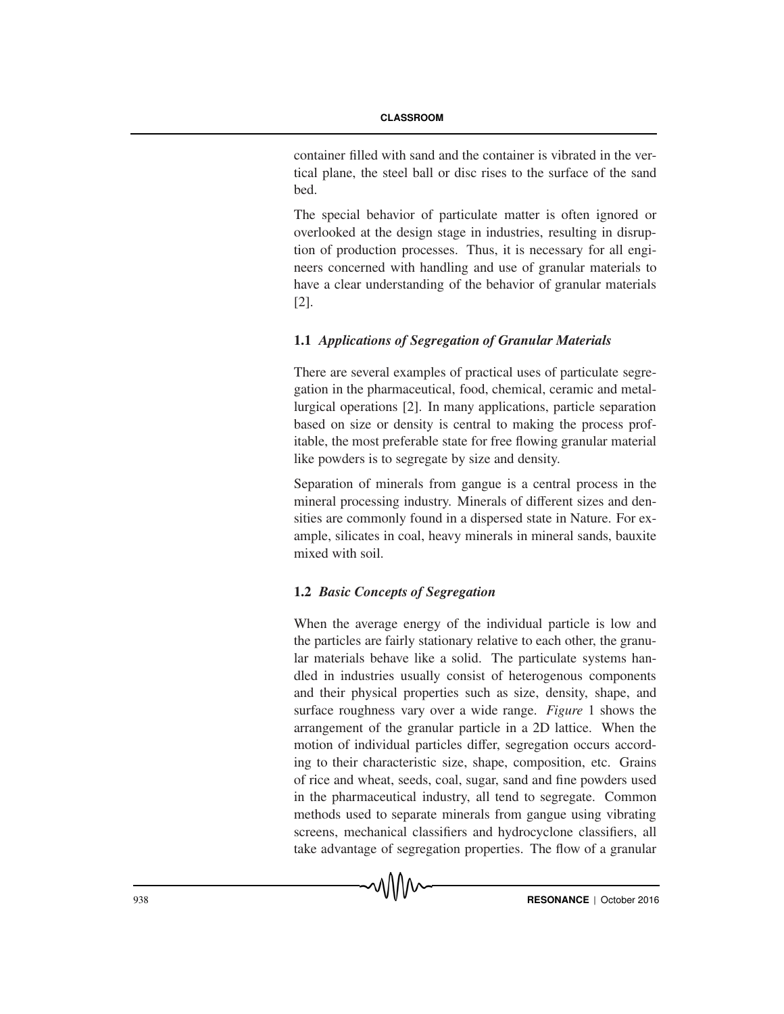container filled with sand and the container is vibrated in the vertical plane, the steel ball or disc rises to the surface of the sand bed.

The special behavior of particulate matter is often ignored or overlooked at the design stage in industries, resulting in disruption of production processes. Thus, it is necessary for all engineers concerned with handling and use of granular materials to have a clear understanding of the behavior of granular materials [2].

## 1.1 *Applications of Segregation of Granular Materials*

There are several examples of practical uses of particulate segregation in the pharmaceutical, food, chemical, ceramic and metallurgical operations [2]. In many applications, particle separation based on size or density is central to making the process profitable, the most preferable state for free flowing granular material like powders is to segregate by size and density.

Separation of minerals from gangue is a central process in the mineral processing industry. Minerals of different sizes and densities are commonly found in a dispersed state in Nature. For example, silicates in coal, heavy minerals in mineral sands, bauxite mixed with soil.

## 1.2 *Basic Concepts of Segregation*

When the average energy of the individual particle is low and the particles are fairly stationary relative to each other, the granular materials behave like a solid. The particulate systems handled in industries usually consist of heterogenous components and their physical properties such as size, density, shape, and surface roughness vary over a wide range. *Figure* 1 shows the arrangement of the granular particle in a 2D lattice. When the motion of individual particles differ, segregation occurs according to their characteristic size, shape, composition, etc. Grains of rice and wheat, seeds, coal, sugar, sand and fine powders used in the pharmaceutical industry, all tend to segregate. Common methods used to separate minerals from gangue using vibrating screens, mechanical classifiers and hydrocyclone classifiers, all take advantage of segregation properties. The flow of a granular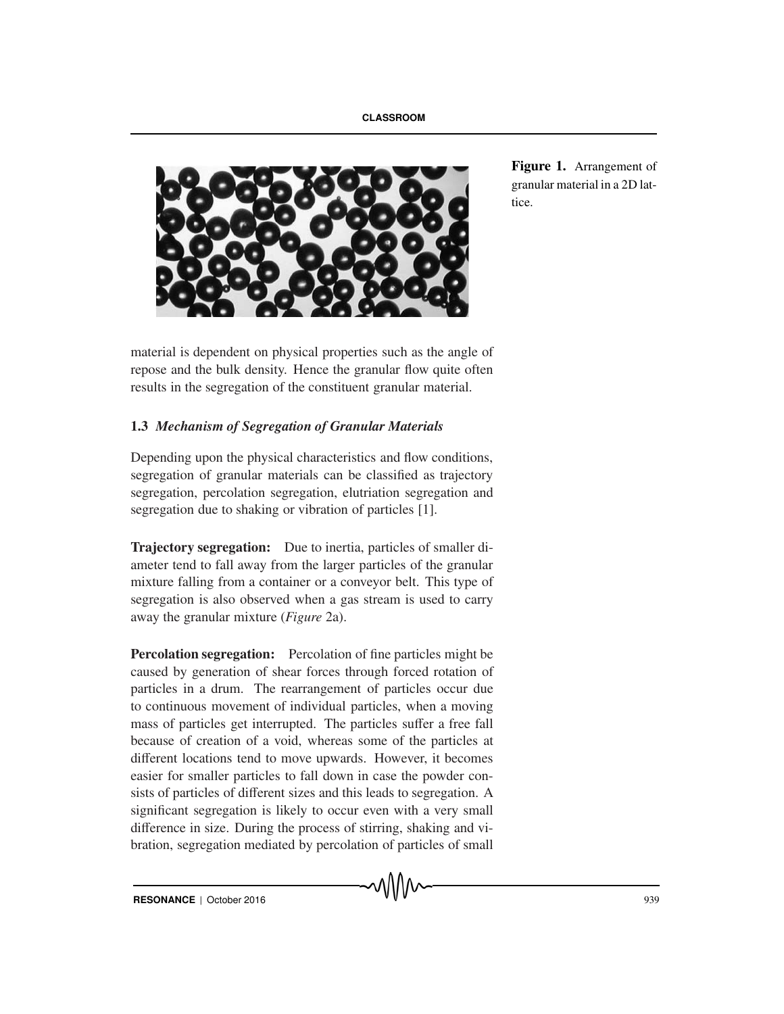

material is dependent on physical properties such as the angle of repose and the bulk density. Hence the granular flow quite often results in the segregation of the constituent granular material.

## 1.3 *Mechanism of Segregation of Granular Materials*

Depending upon the physical characteristics and flow conditions, segregation of granular materials can be classified as trajectory segregation, percolation segregation, elutriation segregation and segregation due to shaking or vibration of particles [1].

Trajectory segregation: Due to inertia, particles of smaller diameter tend to fall away from the larger particles of the granular mixture falling from a container or a conveyor belt. This type of segregation is also observed when a gas stream is used to carry away the granular mixture (*Figure* 2a).

**Percolation segregation:** Percolation of fine particles might be caused by generation of shear forces through forced rotation of particles in a drum. The rearrangement of particles occur due to continuous movement of individual particles, when a moving mass of particles get interrupted. The particles suffer a free fall because of creation of a void, whereas some of the particles at different locations tend to move upwards. However, it becomes easier for smaller particles to fall down in case the powder consists of particles of different sizes and this leads to segregation. A significant segregation is likely to occur even with a very small difference in size. During the process of stirring, shaking and vibration, segregation mediated by percolation of particles of small

Figure 1. Arrangement of granular material in a 2D lattice.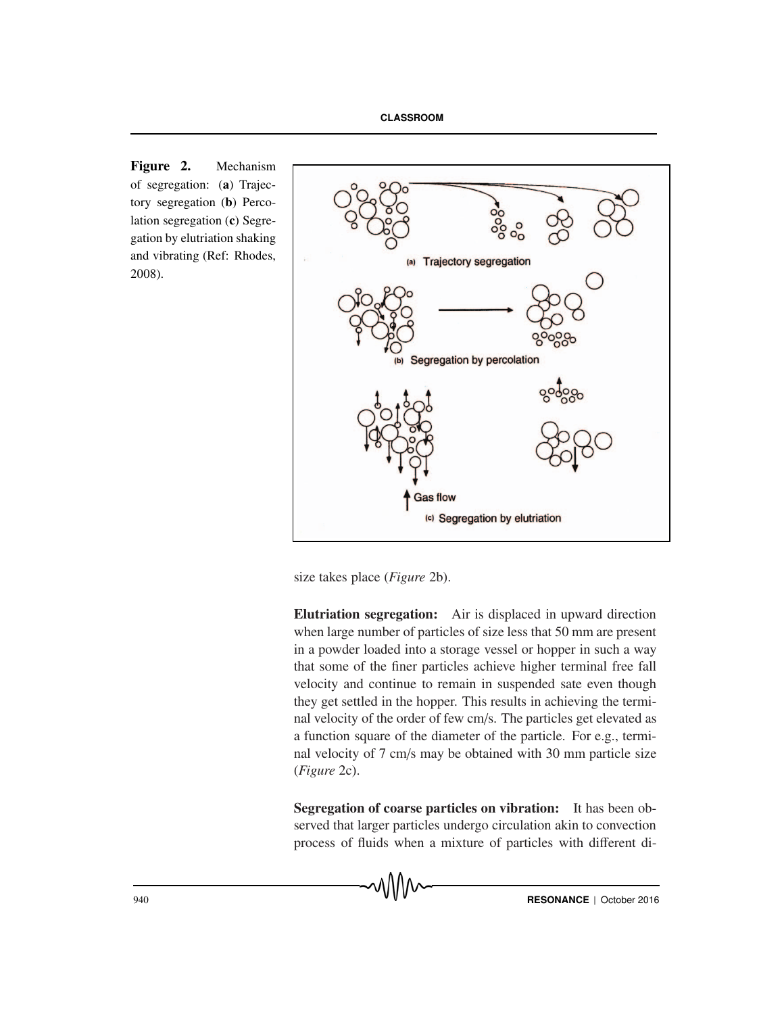Figure 2. Mechanism of segregation: (a) Trajectory segregation (b) Percolation segregation (c) Segregation by elutriation shaking and vibrating (Ref: Rhodes, 2008).



size takes place (*Figure* 2b).

Elutriation segregation: Air is displaced in upward direction when large number of particles of size less that 50 mm are present in a powder loaded into a storage vessel or hopper in such a way that some of the finer particles achieve higher terminal free fall velocity and continue to remain in suspended sate even though they get settled in the hopper. This results in achieving the terminal velocity of the order of few cm/s. The particles get elevated as a function square of the diameter of the particle. For e.g., terminal velocity of 7 cm/s may be obtained with 30 mm particle size (*Figure* 2c).

Segregation of coarse particles on vibration: It has been observed that larger particles undergo circulation akin to convection process of fluids when a mixture of particles with different di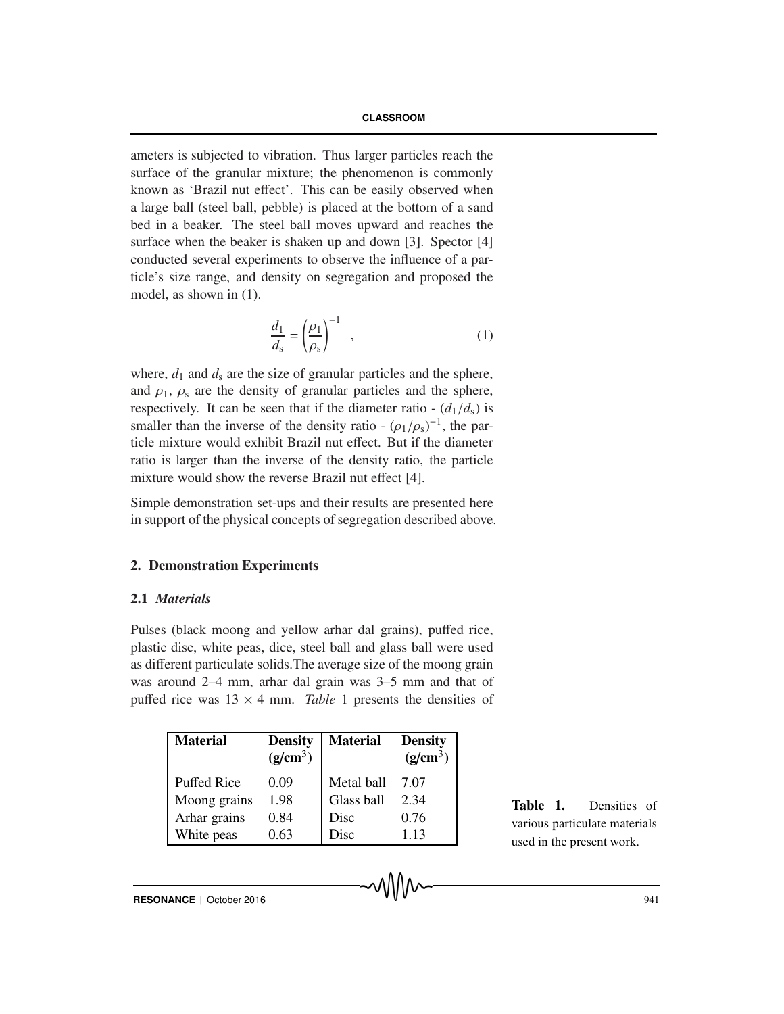ameters is subjected to vibration. Thus larger particles reach the surface of the granular mixture; the phenomenon is commonly known as 'Brazil nut effect'. This can be easily observed when a large ball (steel ball, pebble) is placed at the bottom of a sand bed in a beaker. The steel ball moves upward and reaches the surface when the beaker is shaken up and down [3]. Spector [4] conducted several experiments to observe the influence of a particle's size range, and density on segregation and proposed the model, as shown in (1).

$$
\frac{d_1}{d_s} = \left(\frac{\rho_1}{\rho_s}\right)^{-1} \quad , \tag{1}
$$

where,  $d_1$  and  $d_s$  are the size of granular particles and the sphere, and  $\rho_1$ ,  $\rho_s$  are the density of granular particles and the sphere, respectively. It can be seen that if the diameter ratio  $-(d_1/d_s)$  is smaller than the inverse of the density ratio -  $(\rho_1/\rho_s)^{-1}$ , the particle mixture would exhibit Brazil nut effect. But if the diameter ratio is larger than the inverse of the density ratio, the particle mixture would show the reverse Brazil nut effect [4].

Simple demonstration set-ups and their results are presented here in support of the physical concepts of segregation described above.

## 2. Demonstration Experiments

## 2.1 *Materials*

Pulses (black moong and yellow arhar dal grains), puffed rice, plastic disc, white peas, dice, steel ball and glass ball were used as different particulate solids.The average size of the moong grain was around 2–4 mm, arhar dal grain was 3–5 mm and that of puffed rice was  $13 \times 4$  mm. *Table* 1 presents the densities of

| <b>Material</b>    | <b>Density</b><br>(g/cm <sup>3</sup> ) | <b>Material</b> | <b>Density</b><br>(g/cm <sup>3</sup> ) |
|--------------------|----------------------------------------|-----------------|----------------------------------------|
| <b>Puffed Rice</b> | 0.09                                   | Metal ball      | 7.07                                   |
| Moong grains       | 1.98                                   | Glass ball      | 2.34                                   |
| Arhar grains       | 0.84                                   | Disc            | 0.76                                   |
| White peas         | 0.63                                   | Disc            | 1.13                                   |

Table 1. Densities of various particulate materials used in the present work.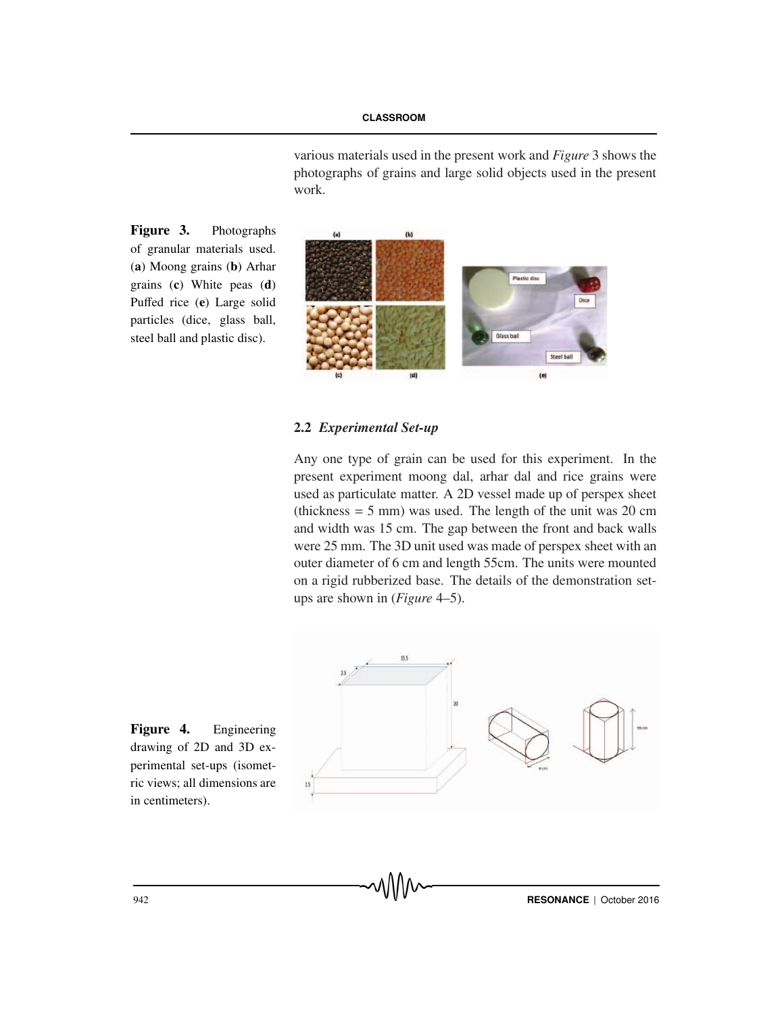various materials used in the present work and *Figure* 3 shows the photographs of grains and large solid objects used in the present work.

Figure 3. Photographs of granular materials used. (a) Moong grains (b) Arhar grains (c) White peas (d) Puffed rice (e) Large solid particles (dice, glass ball, steel ball and plastic disc).



## 2.2 *Experimental Set-up*

Any one type of grain can be used for this experiment. In the present experiment moong dal, arhar dal and rice grains were used as particulate matter. A 2D vessel made up of perspex sheet (thickness  $= 5$  mm) was used. The length of the unit was 20 cm and width was 15 cm. The gap between the front and back walls were 25 mm. The 3D unit used was made of perspex sheet with an outer diameter of 6 cm and length 55cm. The units were mounted on a rigid rubberized base. The details of the demonstration setups are shown in (*Figure* 4–5).



Figure 4. Engineering drawing of 2D and 3D experimental set-ups (isometric views; all dimensions are in centimeters).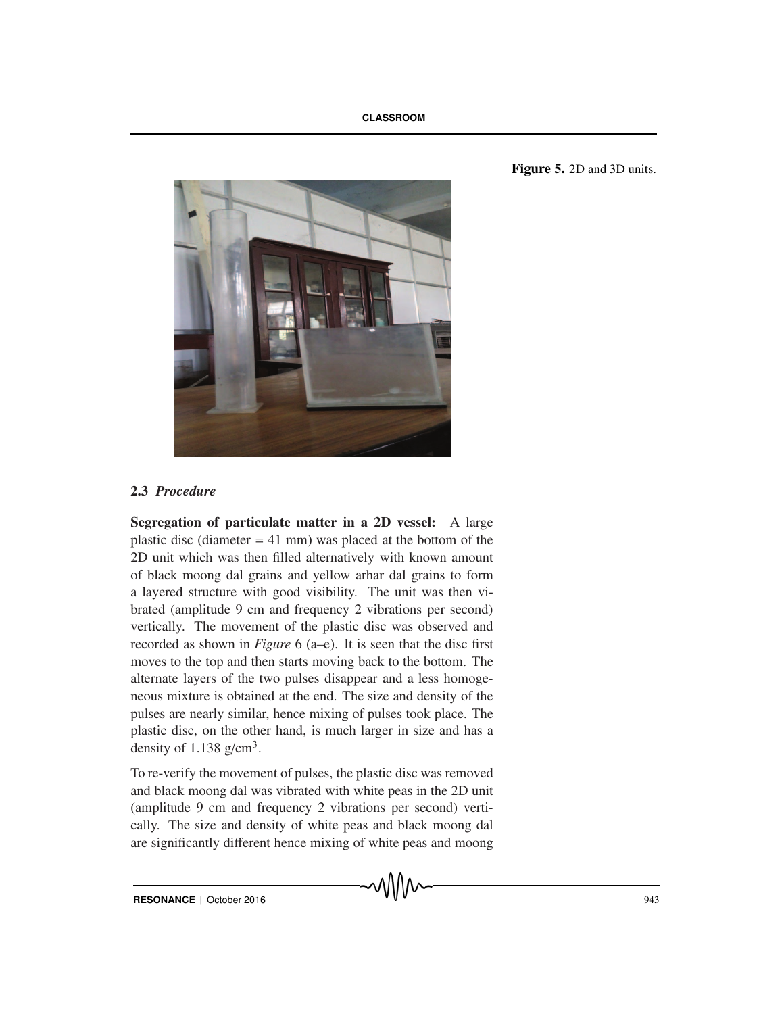

## Figure 5. 2D and 3D units.

# 2.3 *Procedure*

Segregation of particulate matter in a 2D vessel: A large plastic disc (diameter  $= 41$  mm) was placed at the bottom of the 2D unit which was then filled alternatively with known amount of black moong dal grains and yellow arhar dal grains to form a layered structure with good visibility. The unit was then vibrated (amplitude 9 cm and frequency 2 vibrations per second) vertically. The movement of the plastic disc was observed and recorded as shown in *Figure* 6 (a–e). It is seen that the disc first moves to the top and then starts moving back to the bottom. The alternate layers of the two pulses disappear and a less homogeneous mixture is obtained at the end. The size and density of the pulses are nearly similar, hence mixing of pulses took place. The plastic disc, on the other hand, is much larger in size and has a density of 1.138  $g/cm<sup>3</sup>$ .

To re-verify the movement of pulses, the plastic disc was removed and black moong dal was vibrated with white peas in the 2D unit (amplitude 9 cm and frequency 2 vibrations per second) vertically. The size and density of white peas and black moong dal are significantly different hence mixing of white peas and moong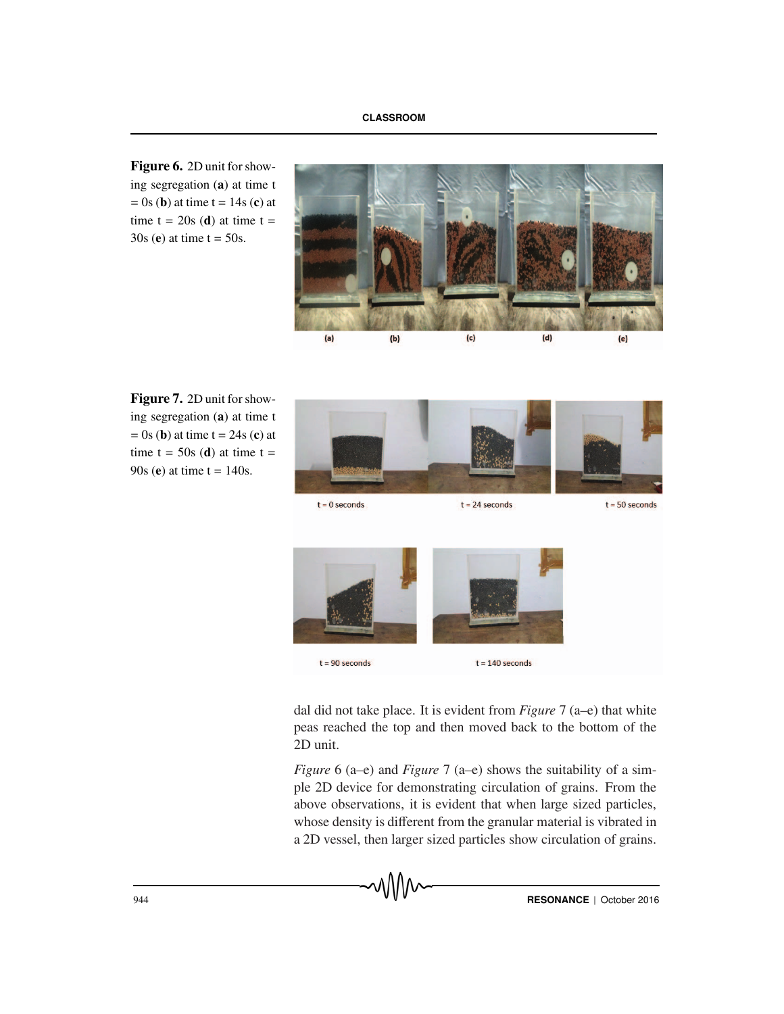Figure 6. 2D unit for showing segregation (a) at time t  $=$  0s (**b**) at time t = 14s (**c**) at time  $t = 20s$  (d) at time  $t =$  $30s$  (e) at time t =  $50s$ .



Figure 7. 2D unit for showing segregation (a) at time t  $= 0$ s (**b**) at time t = 24s (**c**) at time  $t = 50s$  (d) at time  $t =$ 90s (e) at time  $t = 140s$ .



dal did not take place. It is evident from *Figure* 7 (a–e) that white peas reached the top and then moved back to the bottom of the 2D unit.

 $t = 140$  seconds

 $t = 90$  seconds

*Figure* 6 (a–e) and *Figure* 7 (a–e) shows the suitability of a simple 2D device for demonstrating circulation of grains. From the above observations, it is evident that when large sized particles, whose density is different from the granular material is vibrated in a 2D vessel, then larger sized particles show circulation of grains.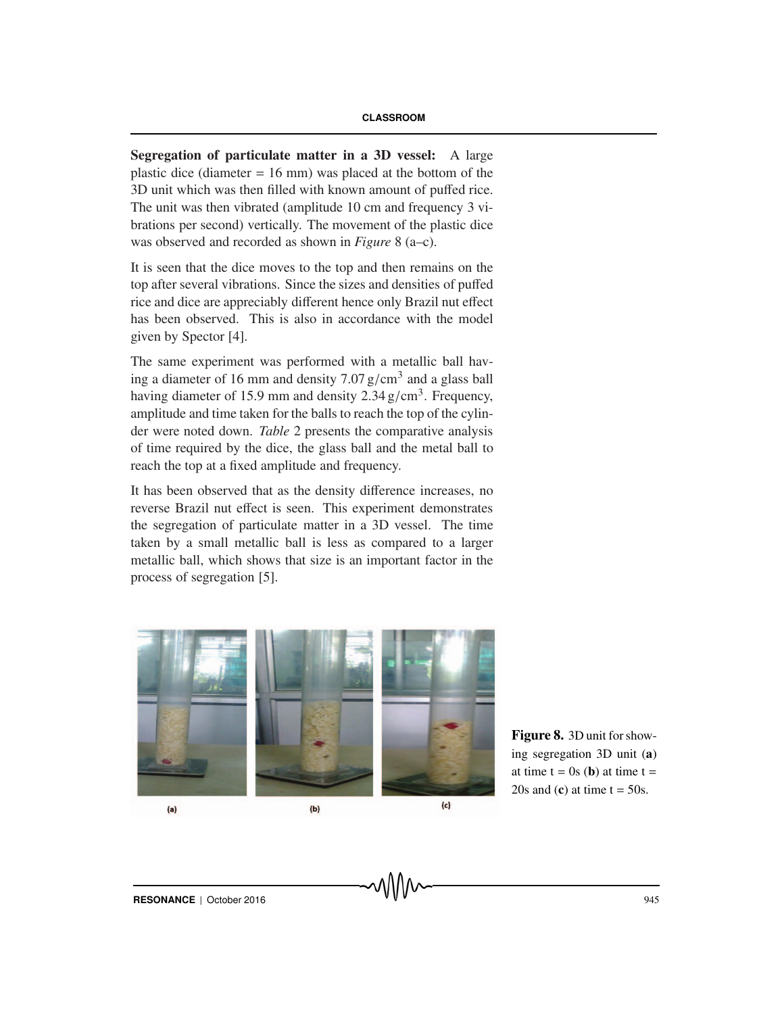Segregation of particulate matter in a 3D vessel: A large plastic dice (diameter  $= 16$  mm) was placed at the bottom of the 3D unit which was then filled with known amount of puffed rice. The unit was then vibrated (amplitude 10 cm and frequency 3 vibrations per second) vertically. The movement of the plastic dice was observed and recorded as shown in *Figure* 8 (a–c).

It is seen that the dice moves to the top and then remains on the top after several vibrations. Since the sizes and densities of puffed rice and dice are appreciably different hence only Brazil nut effect has been observed. This is also in accordance with the model given by Spector [4].

The same experiment was performed with a metallic ball having a diameter of 16 mm and density 7.07  $g/cm<sup>3</sup>$  and a glass ball having diameter of 15.9 mm and density  $2.34 \text{ g/cm}^3$ . Frequency, amplitude and time taken for the balls to reach the top of the cylinder were noted down. *Table* 2 presents the comparative analysis of time required by the dice, the glass ball and the metal ball to reach the top at a fixed amplitude and frequency.

It has been observed that as the density difference increases, no reverse Brazil nut effect is seen. This experiment demonstrates the segregation of particulate matter in a 3D vessel. The time taken by a small metallic ball is less as compared to a larger metallic ball, which shows that size is an important factor in the process of segregation [5].



Figure 8. 3D unit for showing segregation 3D unit (a) at time  $t = 0s$  (**b**) at time  $t =$ 20s and (c) at time  $t = 50s$ .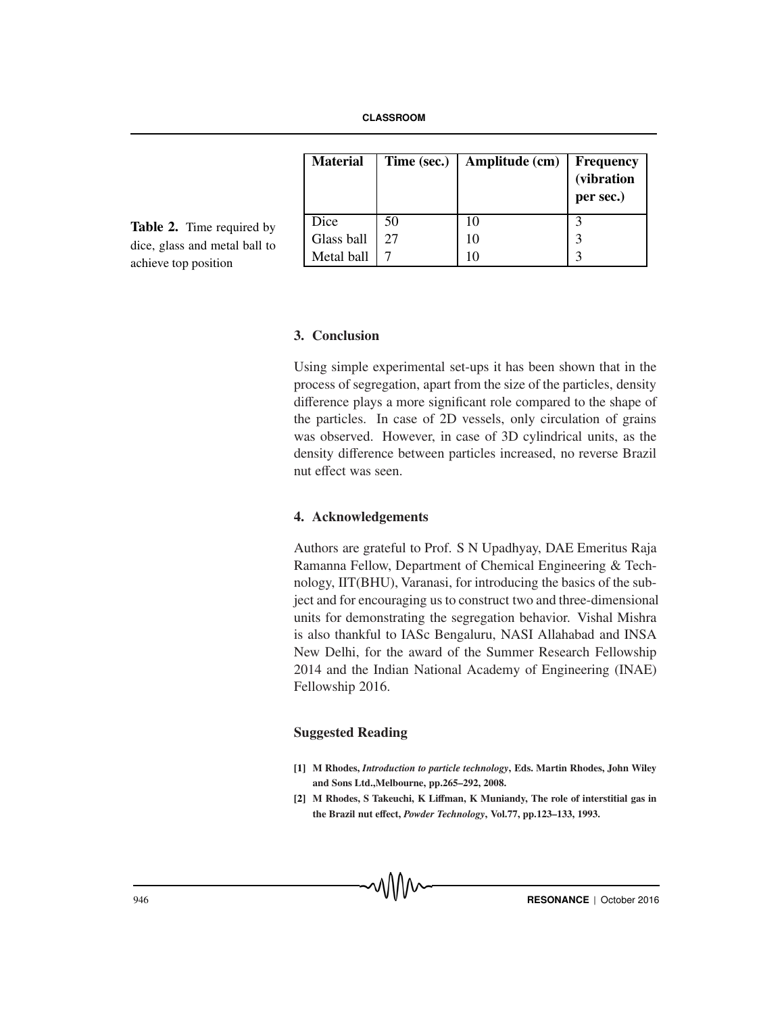| <b>Material</b> | Time (sec.) | Amplitude (cm) | <b>Frequency</b><br>(vibration<br>per sec.) |
|-----------------|-------------|----------------|---------------------------------------------|
| Dice            | 50          | 10             |                                             |
| Glass ball      | 27          | 10             | 3                                           |
| Metal ball      |             |                | $\mathbf{c}$                                |

Table 2. Time required by dice, glass and metal ball to achieve top position

## 3. Conclusion

Using simple experimental set-ups it has been shown that in the process of segregation, apart from the size of the particles, density difference plays a more significant role compared to the shape of the particles. In case of 2D vessels, only circulation of grains was observed. However, in case of 3D cylindrical units, as the density difference between particles increased, no reverse Brazil nut effect was seen.

## 4. Acknowledgements

Authors are grateful to Prof. S N Upadhyay, DAE Emeritus Raja Ramanna Fellow, Department of Chemical Engineering & Technology, IIT(BHU), Varanasi, for introducing the basics of the subject and for encouraging us to construct two and three-dimensional units for demonstrating the segregation behavior. Vishal Mishra is also thankful to IASc Bengaluru, NASI Allahabad and INSA New Delhi, for the award of the Summer Research Fellowship 2014 and the Indian National Academy of Engineering (INAE) Fellowship 2016.

## Suggested Reading

- [1] M Rhodes, *Introduction to particle technology*, Eds. Martin Rhodes, John Wiley and Sons Ltd.,Melbourne, pp.265–292, 2008.
- [2] M Rhodes, S Takeuchi, K Liffman, K Muniandy, The role of interstitial gas in the Brazil nut effect, *Powder Technology*, Vol.77, pp.123–133, 1993.